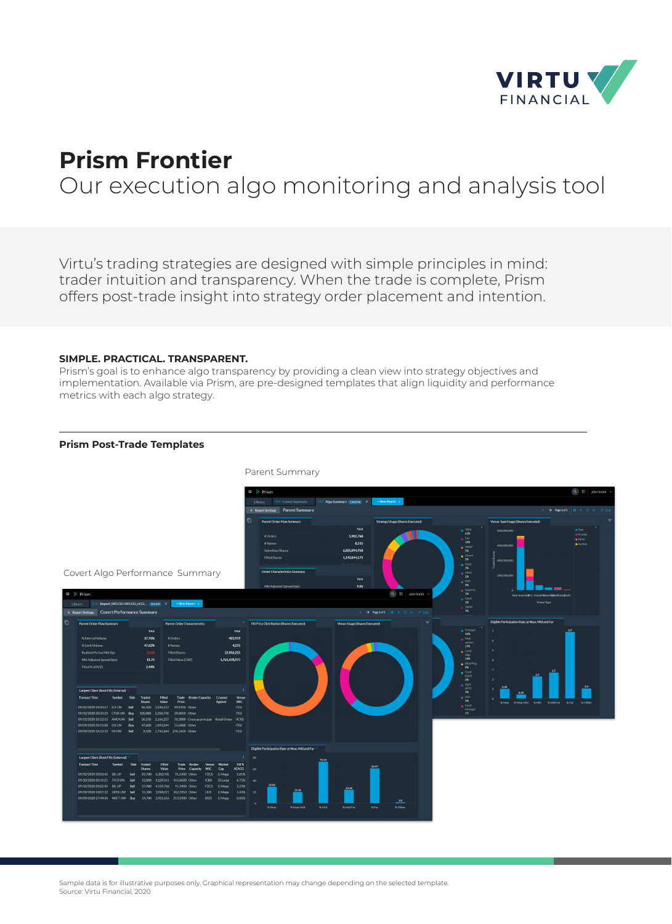

# **Prism Frontier** Our execution algo monitoring and analysis tool

Virtu's trading strategies are designed with simple principles in mind: trader intuition and transparency. When the trade is complete, Prism offers post-trade insight into strategy order placement and intention.

## **SIMPLE. PRACTICAL. TRANSPARENT.**

Prism's goal is to enhance algo transparency by providing a clean view into strategy objectives and implementation. Available via Prism, are pre-designed templates that align liquidity and performance metrics with each algo strategy.

# **Prism Post-Trade Templates**